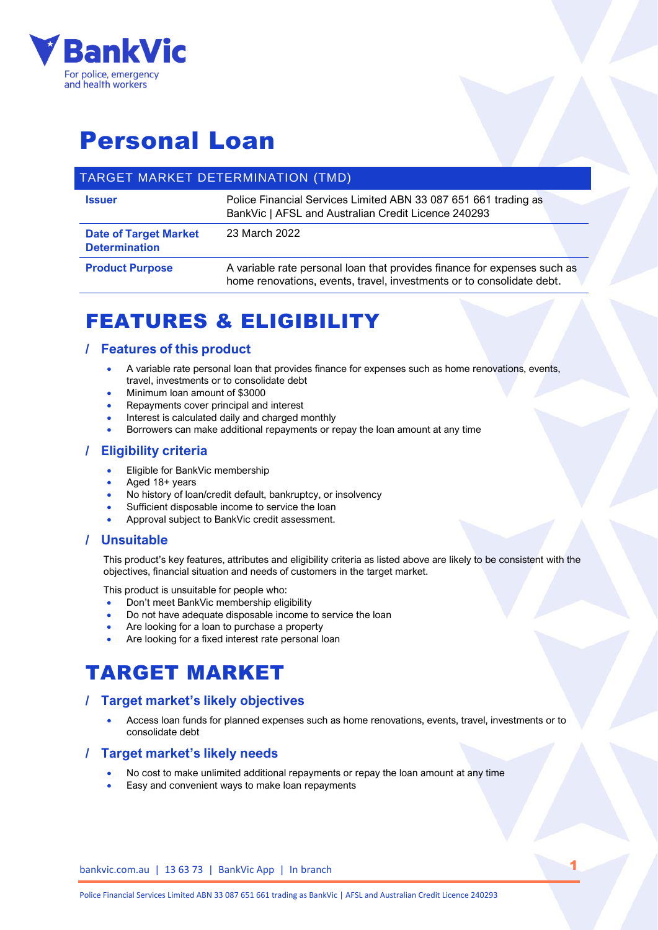

# Personal Loan

## TARGET MARKET DETERMINATION (TMD)

| <b>Issuer</b>                                        | Police Financial Services Limited ABN 33 087 651 661 trading as<br>BankVic   AFSL and Australian Credit Licence 240293                            |  |
|------------------------------------------------------|---------------------------------------------------------------------------------------------------------------------------------------------------|--|
| <b>Date of Target Market</b><br><b>Determination</b> | 23 March 2022                                                                                                                                     |  |
| <b>Product Purpose</b>                               | A variable rate personal loan that provides finance for expenses such as<br>home renovations, events, travel, investments or to consolidate debt. |  |

## FEATURES & ELIGIBILITY

### **/ Features of this product**

- A variable rate personal loan that provides finance for expenses such as home renovations, events, travel, investments or to consolidate debt
- Minimum loan amount of \$3000
- Repayments cover principal and interest
- Interest is calculated daily and charged monthly
- Borrowers can make additional repayments or repay the loan amount at any time

### **/ Eligibility criteria**

- Eligible for BankVic membership
- Aged 18+ years
- No history of loan/credit default, bankruptcy, or insolvency
- Sufficient disposable income to service the loan
- Approval subject to BankVic credit assessment.

### **/ Unsuitable**

This product's key features, attributes and eligibility criteria as listed above are likely to be consistent with the objectives, financial situation and needs of customers in the target market.

This product is unsuitable for people who:

- Don't meet BankVic membership eligibility
- Do not have adequate disposable income to service the loan
- Are looking for a loan to purchase a property
- Are looking for a fixed interest rate personal loan

## TARGET MARKET

### **/ Target market's likely objectives**

• Access loan funds for planned expenses such as home renovations, events, travel, investments or to consolidate debt

1

#### **/ Target market's likely needs**

- No cost to make unlimited additional repayments or repay the loan amount at any time
- Easy and convenient ways to make loan repayments

bankvic.com.au | 13 63 73 | BankVic App | In branch